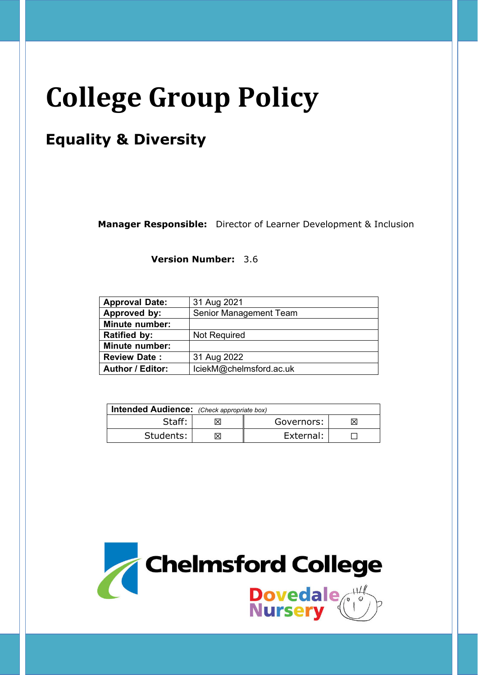# **College Group Policy**

# **Equality & Diversity**

**Manager Responsible:** Director of Learner Development & Inclusion

**Version Number:** 3.6

| <b>Approval Date:</b>   | 31 Aug 2021             |  |
|-------------------------|-------------------------|--|
| Approved by:            | Senior Management Team  |  |
| <b>Minute number:</b>   |                         |  |
| <b>Ratified by:</b>     | <b>Not Required</b>     |  |
| <b>Minute number:</b>   |                         |  |
| <b>Review Date:</b>     | 31 Aug 2022             |  |
| <b>Author / Editor:</b> | lciekM@chelmsford.ac.uk |  |

| <b>Intended Audience:</b> (Check appropriate box) |  |            |  |
|---------------------------------------------------|--|------------|--|
| Staff:                                            |  | Governors: |  |
| Students:                                         |  | External:  |  |

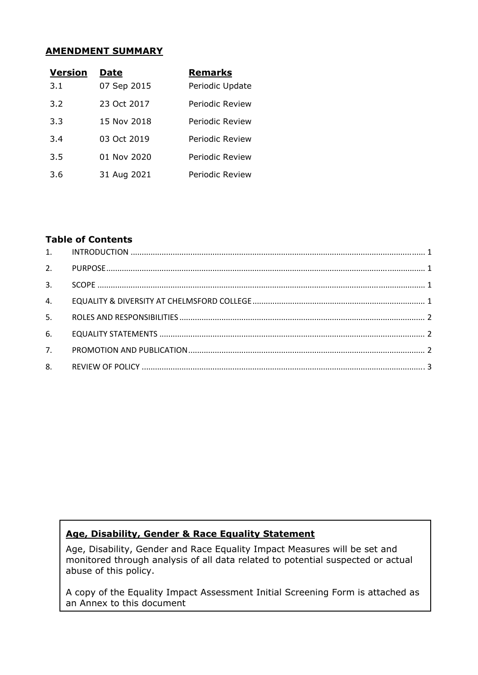#### **AMENDMENT SUMMARY**

| <b>Version</b> | Date        | <b>Remarks</b>  |
|----------------|-------------|-----------------|
| 3.1            | 07 Sep 2015 | Periodic Update |
| 3.2            | 23 Oct 2017 | Periodic Review |
| 3.3            | 15 Nov 2018 | Periodic Review |
| 3.4            | 03 Oct 2019 | Periodic Review |
| 3.5            | 01 Nov 2020 | Periodic Review |
| 3.6            | 31 Aug 2021 | Periodic Review |

#### **Table of Contents**

| 3. |  |
|----|--|
| 4. |  |
| 5. |  |
| 6. |  |
| 7. |  |
|    |  |

# **Age, Disability, Gender & Race Equality Statement**

Age, Disability, Gender and Race Equality Impact Measures will be set and monitored through analysis of all data related to potential suspected or actual abuse of this policy.

A copy of the Equality Impact Assessment Initial Screening Form is attached as an Annex to this document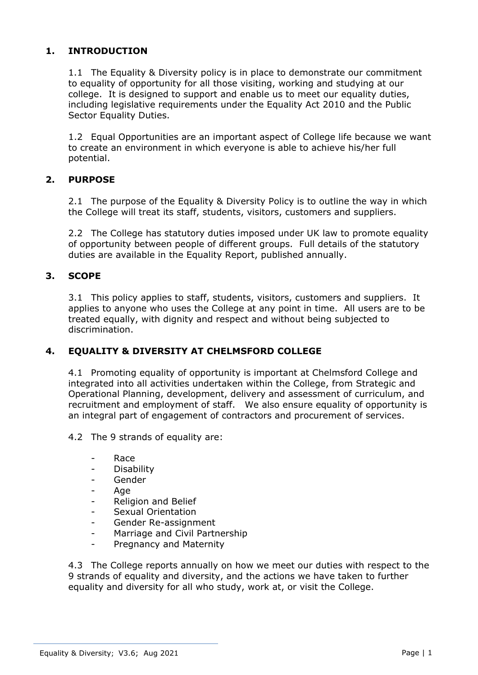## **1. INTRODUCTION**

1.1 The Equality & Diversity policy is in place to demonstrate our commitment to equality of opportunity for all those visiting, working and studying at our college. It is designed to support and enable us to meet our equality duties, including legislative requirements under the Equality Act 2010 and the Public Sector Equality Duties.

1.2 Equal Opportunities are an important aspect of College life because we want to create an environment in which everyone is able to achieve his/her full potential.

#### **2. PURPOSE**

2.1 The purpose of the Equality & Diversity Policy is to outline the way in which the College will treat its staff, students, visitors, customers and suppliers.

2.2 The College has statutory duties imposed under UK law to promote equality of opportunity between people of different groups. Full details of the statutory duties are available in the Equality Report, published annually.

### **3. SCOPE**

3.1 This policy applies to staff, students, visitors, customers and suppliers. It applies to anyone who uses the College at any point in time. All users are to be treated equally, with dignity and respect and without being subjected to discrimination.

#### **4. EQUALITY & DIVERSITY AT CHELMSFORD COLLEGE**

4.1 Promoting equality of opportunity is important at Chelmsford College and integrated into all activities undertaken within the College, from Strategic and Operational Planning, development, delivery and assessment of curriculum, and recruitment and employment of staff. We also ensure equality of opportunity is an integral part of engagement of contractors and procurement of services.

4.2 The 9 strands of equality are:

- Race
- Disability
- **Gender**
- Age
- Religion and Belief
- Sexual Orientation
- Gender Re-assignment
- Marriage and Civil Partnership
- Pregnancy and Maternity

4.3 The College reports annually on how we meet our duties with respect to the 9 strands of equality and diversity, and the actions we have taken to further equality and diversity for all who study, work at, or visit the College.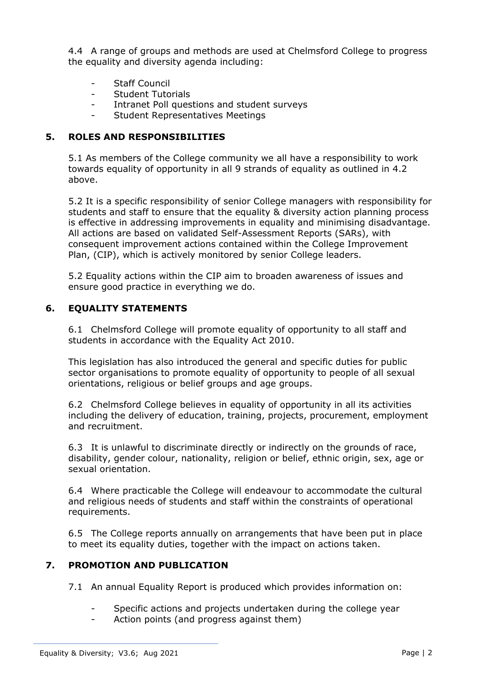4.4 A range of groups and methods are used at Chelmsford College to progress the equality and diversity agenda including:

- Staff Council
- Student Tutorials
- Intranet Poll questions and student surveys
- Student Representatives Meetings

#### **5. ROLES AND RESPONSIBILITIES**

5.1 As members of the College community we all have a responsibility to work towards equality of opportunity in all 9 strands of equality as outlined in 4.2 above.

5.2 It is a specific responsibility of senior College managers with responsibility for students and staff to ensure that the equality & diversity action planning process is effective in addressing improvements in equality and minimising disadvantage. All actions are based on validated Self-Assessment Reports (SARs), with consequent improvement actions contained within the College Improvement Plan, (CIP), which is actively monitored by senior College leaders.

5.2 Equality actions within the CIP aim to broaden awareness of issues and ensure good practice in everything we do.

#### **6. EQUALITY STATEMENTS**

6.1 Chelmsford College will promote equality of opportunity to all staff and students in accordance with the Equality Act 2010.

This legislation has also introduced the general and specific duties for public sector organisations to promote equality of opportunity to people of all sexual orientations, religious or belief groups and age groups.

6.2 Chelmsford College believes in equality of opportunity in all its activities including the delivery of education, training, projects, procurement, employment and recruitment.

6.3 It is unlawful to discriminate directly or indirectly on the grounds of race, disability, gender colour, nationality, religion or belief, ethnic origin, sex, age or sexual orientation.

6.4 Where practicable the College will endeavour to accommodate the cultural and religious needs of students and staff within the constraints of operational requirements.

6.5 The College reports annually on arrangements that have been put in place to meet its equality duties, together with the impact on actions taken.

#### **7. PROMOTION AND PUBLICATION**

- 7.1 An annual Equality Report is produced which provides information on:
	- Specific actions and projects undertaken during the college year
	- Action points (and progress against them)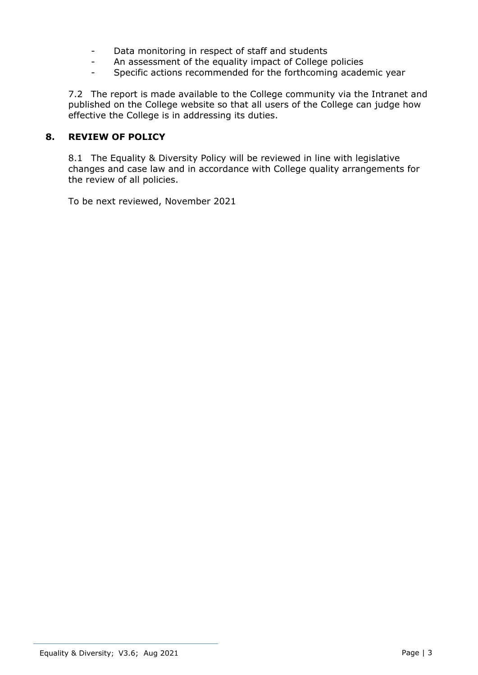- Data monitoring in respect of staff and students
- An assessment of the equality impact of College policies
- Specific actions recommended for the forthcoming academic year

7.2 The report is made available to the College community via the Intranet and published on the College website so that all users of the College can judge how effective the College is in addressing its duties.

### **8. REVIEW OF POLICY**

8.1 The Equality & Diversity Policy will be reviewed in line with legislative changes and case law and in accordance with College quality arrangements for the review of all policies.

To be next reviewed, November 2021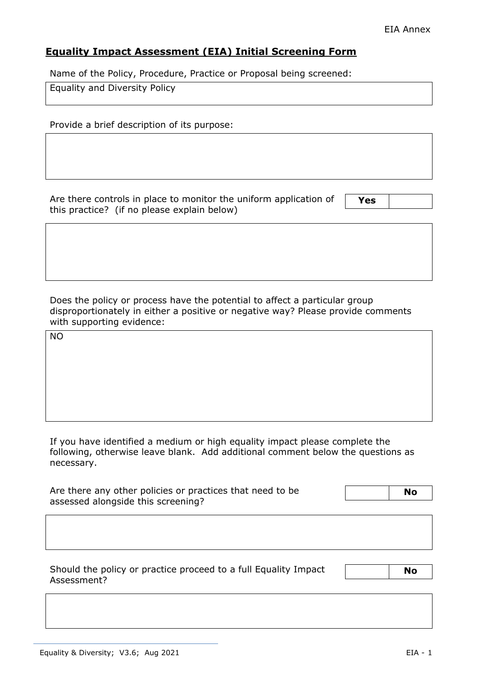# **Equality Impact Assessment (EIA) Initial Screening Form**

Name of the Policy, Procedure, Practice or Proposal being screened:

Equality and Diversity Policy

Provide a brief description of its purpose:

Are there controls in place to monitor the uniform application of this practice? (if no please explain below)

**Yes** 

Does the policy or process have the potential to affect a particular group disproportionately in either a positive or negative way? Please provide comments with supporting evidence:

NO

If you have identified a medium or high equality impact please complete the following, otherwise leave blank. Add additional comment below the questions as necessary.

| Are there any other policies or practices that need to be | <b>No</b> |
|-----------------------------------------------------------|-----------|
| assessed alongside this screening?                        |           |

Should the policy or practice proceed to a full Equality Impact Assessment?

 **No**